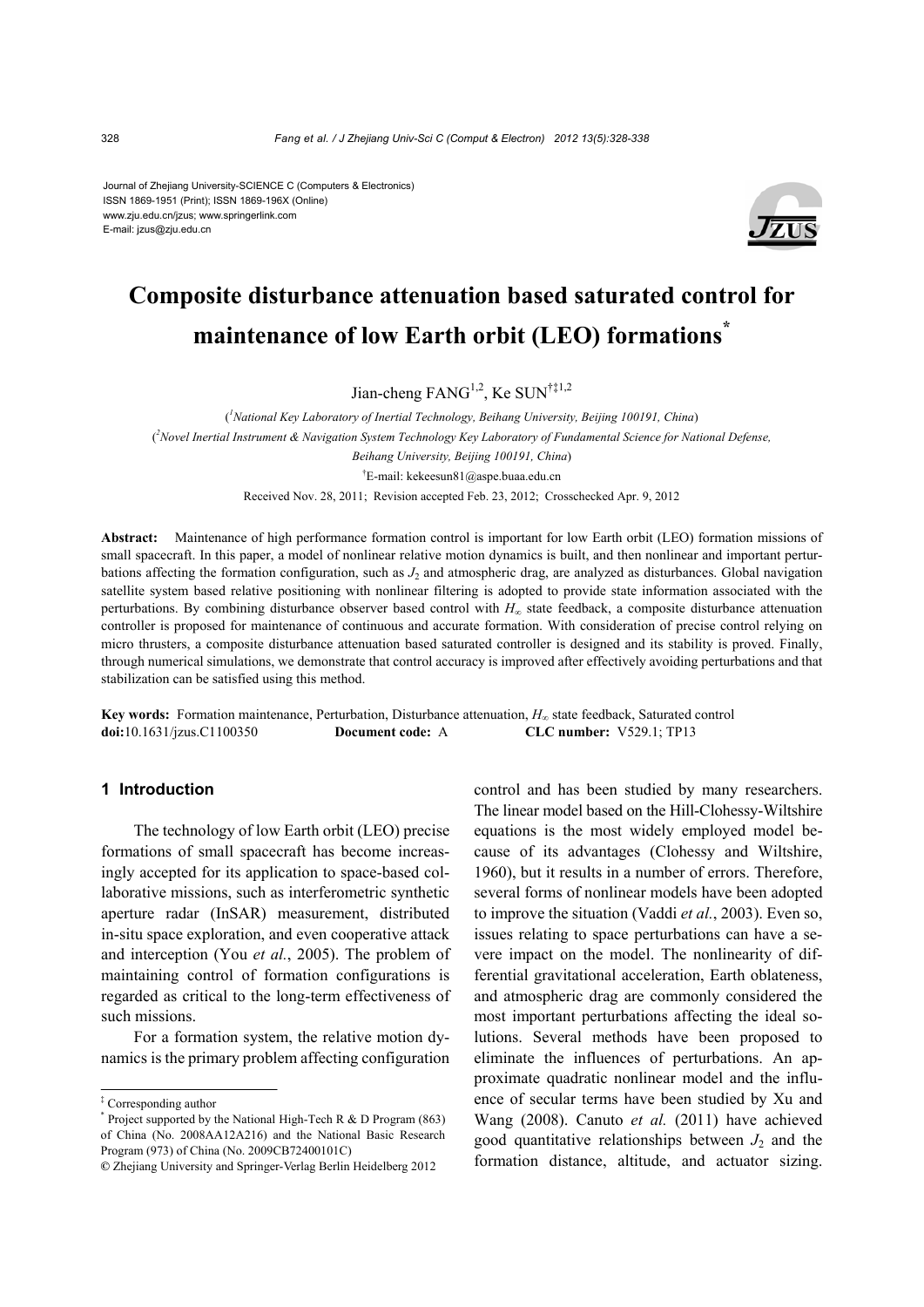#### Journal of Zhejiang University-SCIENCE C (Computers & Electronics) ISSN 1869-1951 (Print); ISSN 1869-196X (Online) www.zju.edu.cn/jzus; www.springerlink.com E-mail: jzus@zju.edu.cn



# **Composite disturbance attenuation based saturated control for maintenance of low Earth orbit (LEO) formations\***

Jian-cheng  $FANG^{1,2}$ , Ke SUN<sup>†‡1,2</sup>

( *1 National Key Laboratory of Inertial Technology, Beihang University, Beijing 100191, China*) ( *2 Novel Inertial Instrument & Navigation System Technology Key Laboratory of Fundamental Science for National Defense, Beihang University, Beijing 100191, China*) † E-mail: kekeesun81@aspe.buaa.edu.cn Received Nov. 28, 2011; Revision accepted Feb. 23, 2012; Crosschecked Apr. 9, 2012

**Abstract:** Maintenance of high performance formation control is important for low Earth orbit (LEO) formation missions of small spacecraft. In this paper, a model of nonlinear relative motion dynamics is built, and then nonlinear and important perturbations affecting the formation configuration, such as  $J_2$  and atmospheric drag, are analyzed as disturbances. Global navigation satellite system based relative positioning with nonlinear filtering is adopted to provide state information associated with the perturbations. By combining disturbance observer based control with *H∞* state feedback, a composite disturbance attenuation controller is proposed for maintenance of continuous and accurate formation. With consideration of precise control relying on micro thrusters, a composite disturbance attenuation based saturated controller is designed and its stability is proved. Finally, through numerical simulations, we demonstrate that control accuracy is improved after effectively avoiding perturbations and that stabilization can be satisfied using this method.

**Key words:** Formation maintenance, Perturbation, Disturbance attenuation, *H∞* state feedback, Saturated control **doi:**10.1631/jzus.C1100350 **Document code:** A **CLC number:** V529.1; TP13

## **1 Introduction**

The technology of low Earth orbit (LEO) precise formations of small spacecraft has become increasingly accepted for its application to space-based collaborative missions, such as interferometric synthetic aperture radar (InSAR) measurement, distributed in-situ space exploration, and even cooperative attack and interception (You *et al.*, 2005). The problem of maintaining control of formation configurations is regarded as critical to the long-term effectiveness of such missions.

For a formation system, the relative motion dynamics is the primary problem affecting configuration

control and has been studied by many researchers. The linear model based on the Hill-Clohessy-Wiltshire equations is the most widely employed model because of its advantages (Clohessy and Wiltshire, 1960), but it results in a number of errors. Therefore, several forms of nonlinear models have been adopted to improve the situation (Vaddi *et al.*, 2003). Even so, issues relating to space perturbations can have a severe impact on the model. The nonlinearity of differential gravitational acceleration, Earth oblateness, and atmospheric drag are commonly considered the most important perturbations affecting the ideal solutions. Several methods have been proposed to eliminate the influences of perturbations. An approximate quadratic nonlinear model and the influence of secular terms have been studied by Xu and Wang (2008). Canuto *et al.* (2011) have achieved good quantitative relationships between  $J_2$  and the formation distance, altitude, and actuator sizing.

<sup>‡</sup> Corresponding author

<sup>\*</sup> Project supported by the National High-Tech R & D Program (863) of China (No. 2008AA12A216) and the National Basic Research Program (973) of China (No. 2009CB72400101C)

**<sup>©</sup>** Zhejiang University and Springer-Verlag Berlin Heidelberg 2012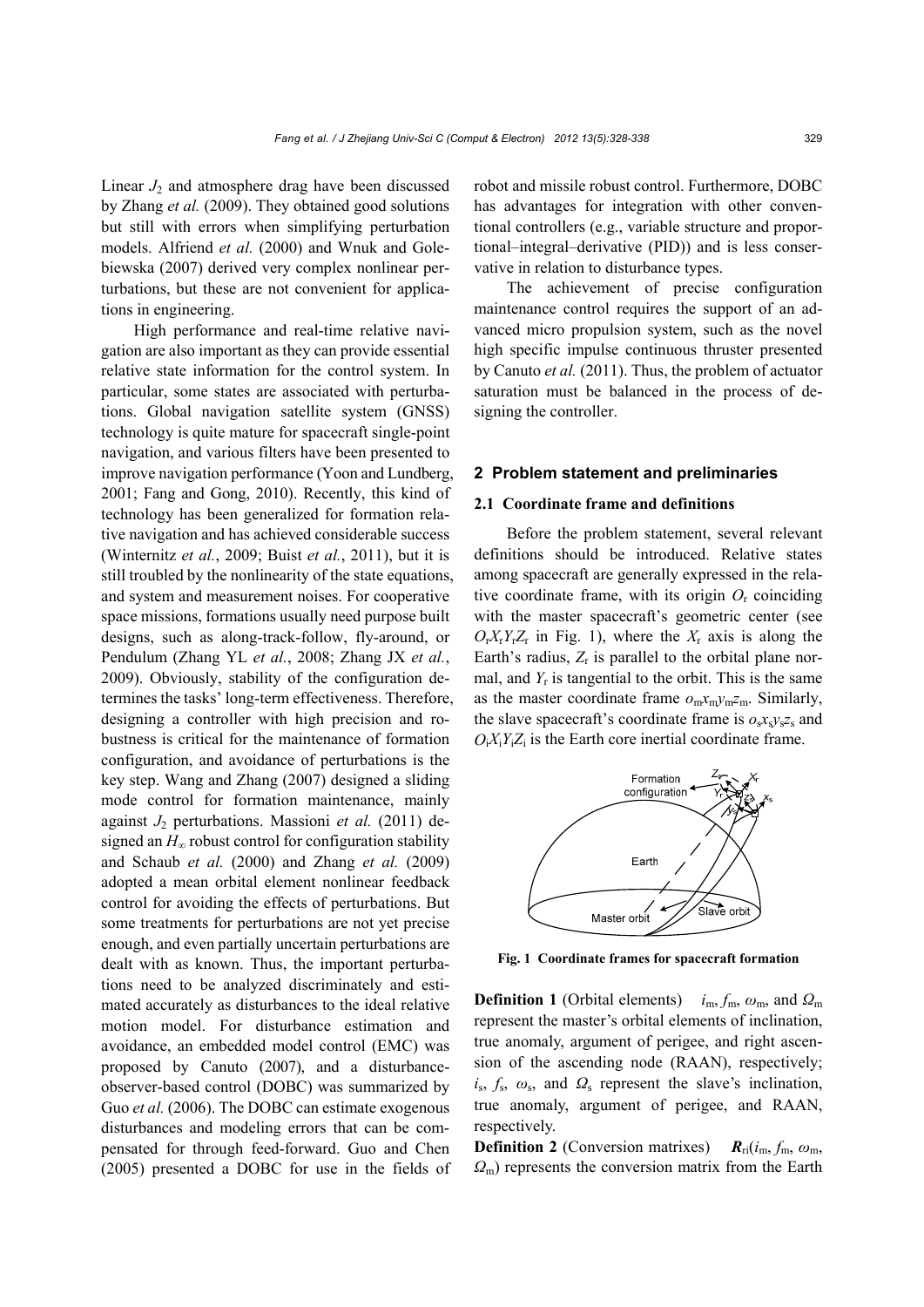Linear  $J_2$  and atmosphere drag have been discussed by Zhang *et al.* (2009). They obtained good solutions but still with errors when simplifying perturbation models. Alfriend *et al.* (2000) and Wnuk and Golebiewska (2007) derived very complex nonlinear perturbations, but these are not convenient for applications in engineering.

High performance and real-time relative navigation are also important as they can provide essential relative state information for the control system. In particular, some states are associated with perturbations. Global navigation satellite system (GNSS) technology is quite mature for spacecraft single-point navigation, and various filters have been presented to improve navigation performance (Yoon and Lundberg, 2001; Fang and Gong, 2010). Recently, this kind of technology has been generalized for formation relative navigation and has achieved considerable success (Winternitz *et al.*, 2009; Buist *et al.*, 2011), but it is still troubled by the nonlinearity of the state equations, and system and measurement noises. For cooperative space missions, formations usually need purpose built designs, such as along-track-follow, fly-around, or Pendulum (Zhang YL *et al.*, 2008; Zhang JX *et al.*, 2009). Obviously, stability of the configuration determines the tasks' long-term effectiveness. Therefore, designing a controller with high precision and robustness is critical for the maintenance of formation configuration, and avoidance of perturbations is the key step. Wang and Zhang (2007) designed a sliding mode control for formation maintenance, mainly against *J*2 perturbations. Massioni *et al.* (2011) designed an *H*∞ robust control for configuration stability and Schaub *et al.* (2000) and Zhang *et al.* (2009) adopted a mean orbital element nonlinear feedback control for avoiding the effects of perturbations. But some treatments for perturbations are not yet precise enough, and even partially uncertain perturbations are dealt with as known. Thus, the important perturbations need to be analyzed discriminately and estimated accurately as disturbances to the ideal relative motion model. For disturbance estimation and avoidance, an embedded model control (EMC) was proposed by Canuto (2007), and a disturbanceobserver-based control (DOBC) was summarized by Guo *et al.* (2006). The DOBC can estimate exogenous disturbances and modeling errors that can be compensated for through feed-forward. Guo and Chen (2005) presented a DOBC for use in the fields of robot and missile robust control. Furthermore, DOBC has advantages for integration with other conventional controllers (e.g., variable structure and proportional–integral–derivative (PID)) and is less conservative in relation to disturbance types.

The achievement of precise configuration maintenance control requires the support of an advanced micro propulsion system, such as the novel high specific impulse continuous thruster presented by Canuto *et al.* (2011). Thus, the problem of actuator saturation must be balanced in the process of designing the controller.

#### **2 Problem statement and preliminaries**

## **2.1 Coordinate frame and definitions**

Before the problem statement, several relevant definitions should be introduced. Relative states among spacecraft are generally expressed in the relative coordinate frame, with its origin  $O_r$  coinciding with the master spacecraft's geometric center (see  $O_F X_r Y_r Z_r$  in Fig. 1), where the  $X_r$  axis is along the Earth's radius,  $Z_r$  is parallel to the orbital plane normal, and  $Y_r$  is tangential to the orbit. This is the same as the master coordinate frame  $o_m x_m y_m z_m$ . Similarly, the slave spacecraft's coordinate frame is  $o_s x_s y_s z_s$  and  $O_iX_iY_iZ_i$  is the Earth core inertial coordinate frame.



**Fig. 1 Coordinate frames for spacecraft formation**

**Definition 1** (Orbital elements)  $i_m$ ,  $f_m$ ,  $\omega_m$ , and  $\Omega_m$ represent the master's orbital elements of inclination, true anomaly, argument of perigee, and right ascension of the ascending node (RAAN), respectively;  $i_s$ ,  $f_s$ ,  $\omega_s$ , and  $\Omega_s$  represent the slave's inclination, true anomaly, argument of perigee, and RAAN, respectively.

**Definition 2** (Conversion matrixes)  $R_{ri}(i_m, f_m, \omega_m)$ *Ω*m) represents the conversion matrix from the Earth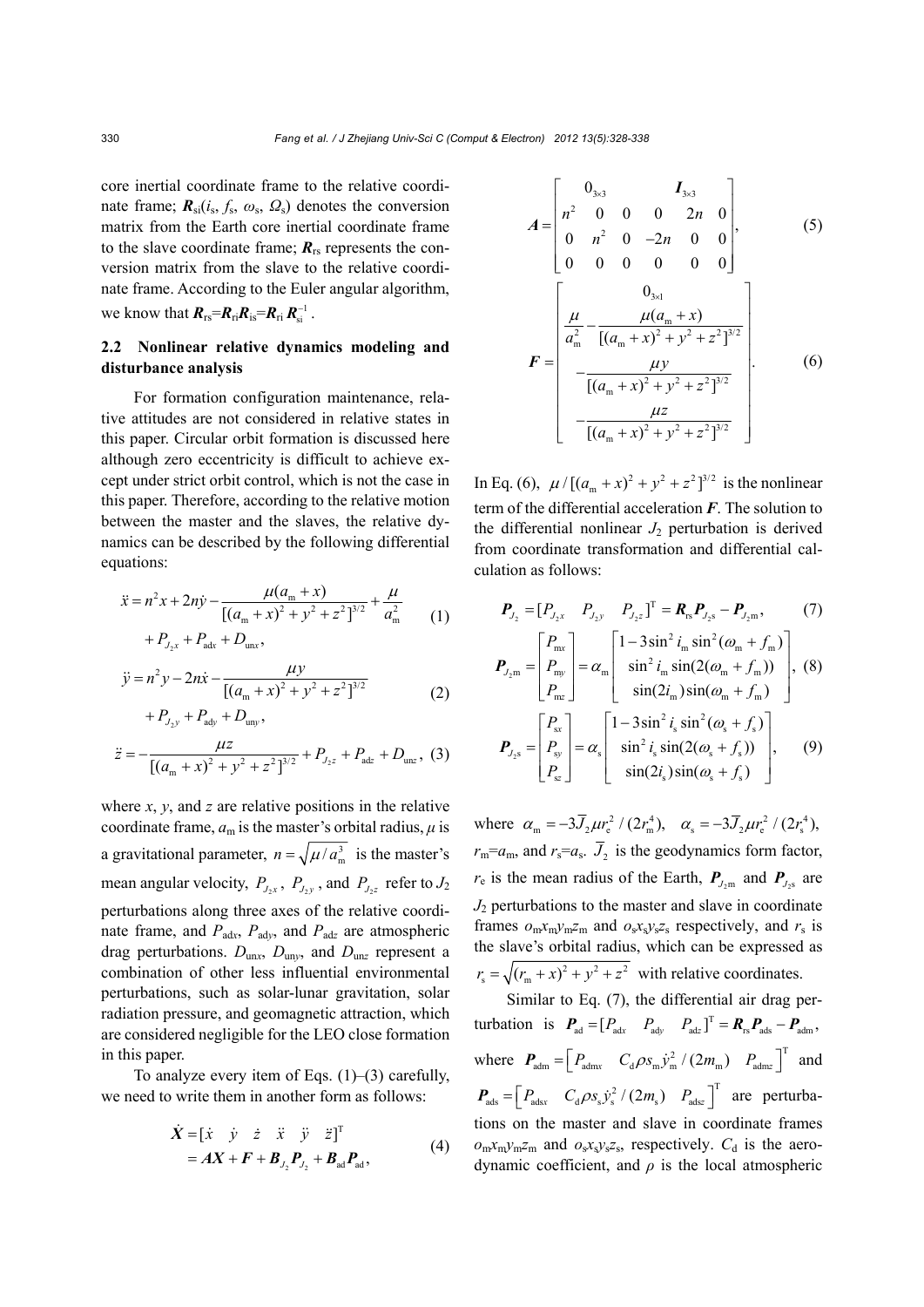core inertial coordinate frame to the relative coordinate frame;  $\mathbf{R}_{si}(i_s, f_s, \omega_s, \Omega_s)$  denotes the conversion matrix from the Earth core inertial coordinate frame to the slave coordinate frame;  $R_{rs}$  represents the conversion matrix from the slave to the relative coordinate frame. According to the Euler angular algorithm, we know that  $R_{rs} = R_{ri}R_{is} = R_{ri}R_{si}^{-1}$ .

# **2.2 Nonlinear relative dynamics modeling and disturbance analysis**

For formation configuration maintenance, relative attitudes are not considered in relative states in this paper. Circular orbit formation is discussed here although zero eccentricity is difficult to achieve except under strict orbit control, which is not the case in this paper. Therefore, according to the relative motion between the master and the slaves, the relative dynamics can be described by the following differential equations:

$$
\ddot{x} = n^2 x + 2n\dot{y} - \frac{\mu(a_m + x)}{[(a_m + x)^2 + y^2 + z^2]^{3/2}} + \frac{\mu}{a_m^2} + P_{\text{2x}} + P_{\text{adv}} + D_{\text{unx}},
$$
\n(1)

$$
\ddot{y} = n^2 y - 2n\dot{x} - \frac{\mu y}{[(a_m + x)^2 + y^2 + z^2]^{3/2}}
$$
 (2)

$$
+P_{J_2y} + P_{\text{ady}} + D_{\text{uny}},
$$

$$
\ddot{z} = -\frac{\mu z}{\left[ \left( a_{\rm m} + x \right)^2 + y^2 + z^2 \right]^{3/2}} + P_{J_2 z} + P_{\rm adz} + D_{\rm unz} , \tag{3}
$$

where *x*, *y*, and *z* are relative positions in the relative coordinate frame,  $a_m$  is the master's orbital radius,  $\mu$  is a gravitational parameter,  $n = \sqrt{\mu/a_m^3}$  is the master's mean angular velocity,  $P_{J,x}$ ,  $P_{J,y}$ , and  $P_{J,z}$  refer to  $J_2$ perturbations along three axes of the relative coordinate frame, and  $P_{\text{adv}}$ ,  $P_{\text{adv}}$ , and  $P_{\text{adv}}$  are atmospheric drag perturbations.  $D_{\text{un}x}$ ,  $D_{\text{un}y}$ , and  $D_{\text{un}z}$  represent a combination of other less influential environmental perturbations, such as solar-lunar gravitation, solar radiation pressure, and geomagnetic attraction, which are considered negligible for the LEO close formation in this paper.

To analyze every item of Eqs.  $(1)$ – $(3)$  carefully, we need to write them in another form as follows:

$$
\dot{X} = \begin{bmatrix} \dot{x} & \dot{y} & \dot{z} & \ddot{x} & \ddot{y} & \ddot{z} \end{bmatrix}^{\mathrm{T}} \n= AX + F + B_{J_2} P_{J_2} + B_{ad} P_{ad},
$$
\n(4)

$$
A = \begin{bmatrix} 0_{3\times 3} & I_{3\times 3} \\ n^2 & 0 & 0 & 0 & 2n & 0 \\ 0 & n^2 & 0 & -2n & 0 & 0 \\ 0 & 0 & 0 & 0 & 0 & 0 \end{bmatrix},
$$
 (5)

$$
F = \begin{bmatrix} 0 & 0 & 0 & 0 & 0 & 0 \end{bmatrix}
$$
  
\n
$$
F = \begin{bmatrix} 0_{3x1} \\ \frac{\mu}{a_m^2} - \frac{\mu(a_m + x)}{[(a_m + x)^2 + y^2 + z^2]^{3/2}} \\ -\frac{\mu y}{[(a_m + x)^2 + y^2 + z^2]^{3/2}} \\ -\frac{\mu z}{[(a_m + x)^2 + y^2 + z^2]^{3/2}} \end{bmatrix}.
$$
 (6)

In Eq. (6),  $\mu / [(a_m + x)^2 + y^2 + z^2]^{3/2}$  is the nonlinear term of the differential acceleration *F*. The solution to the differential nonlinear  $J_2$  perturbation is derived from coordinate transformation and differential calculation as follows:

$$
\boldsymbol{P}_{J_2} = [P_{J_2x} \quad P_{J_2y} \quad P_{J_2z}]^{\mathrm{T}} = \boldsymbol{R}_{rs} \boldsymbol{P}_{J_2s} - \boldsymbol{P}_{J_2m}, \tag{7}
$$
\n
$$
\begin{bmatrix} P_{\text{mx}} \end{bmatrix} \qquad \begin{bmatrix} 1 - 3\sin^2 i_m \sin^2(\omega_m + f_m) \end{bmatrix}
$$

$$
\boldsymbol{P}_{J_2 m} = \begin{bmatrix} P_{my} \\ P_{my} \\ P_{nz} \end{bmatrix} = \alpha_m \begin{bmatrix} \sin^2 i_m \sin(2(\omega_m + f_m)) \\ \sin(2i_m) \sin(\omega_m + f_m) \end{bmatrix}, (8)
$$
\n
$$
\begin{bmatrix} P_{sx} \\ P_{mx} \end{bmatrix}
$$

$$
\boldsymbol{P}_{J_2\text{s}} = \begin{bmatrix} P_{\text{sx}} \\ P_{\text{sy}} \\ P_{\text{sz}} \end{bmatrix} = \alpha_s \begin{bmatrix} 1 - 3\sin^2 t_s \sin^2(\omega_s + f_s) \\ \sin^2 t_s \sin(2(\omega_s + f_s)) \\ \sin(2t_s) \sin(\omega_s + f_s) \end{bmatrix}, \qquad (9)
$$

where  $\alpha_{\rm m} = -3\overline{J}_2 \mu r_{\rm e}^2 / (2r_{\rm m}^4)$ ,  $\alpha_{\rm s} = -3\overline{J}_2 \mu r_{\rm e}^2 / (2r_{\rm s}^4)$ ,  $r_{\rm m} = a_{\rm m}$ , and  $r_{\rm s} = a_{\rm s}$ .  $\bar{J}_2$  is the geodynamics form factor,  $r_e$  is the mean radius of the Earth,  $P_{J_2m}$  and  $P_{J_2s}$  are  $J_2$  perturbations to the master and slave in coordinate frames  $o_m x_m y_m z_m$  and  $o_s x_s y_s z_s$  respectively, and  $r_s$  is the slave's orbital radius, which can be expressed as  $r_s = \sqrt{(r_m + x)^2 + y^2 + z^2}$  with relative coordinates.

Similar to Eq. (7), the differential air drag perturbation is  $P_{\text{ad}} = [P_{\text{adv}} \quad P_{\text{adv}} \quad P_{\text{adv}}]^{\text{T}} = R_{\text{rs}} P_{\text{ads}} - P_{\text{adm}}$ where  $P_{\text{adm}} = \begin{bmatrix} P_{\text{adm}} & C_{\text{d}} \rho s_{\text{m}} \dot{y}_{\text{m}}^2 / (2m_{\text{m}}) & P_{\text{admz}} \end{bmatrix}^T$  and  $\boldsymbol{P}_{\text{ads}} = \begin{bmatrix} P_{\text{adsx}} & C_{\text{d}} \rho s_s \dot{y}_s^2 / (2m_s) & P_{\text{adsz}} \end{bmatrix}^T$  are perturbations on the master and slave in coordinate frames  $o_m x_m y_m z_m$  and  $o_s x_s y_s z_s$ , respectively.  $C_d$  is the aerodynamic coefficient, and  $\rho$  is the local atmospheric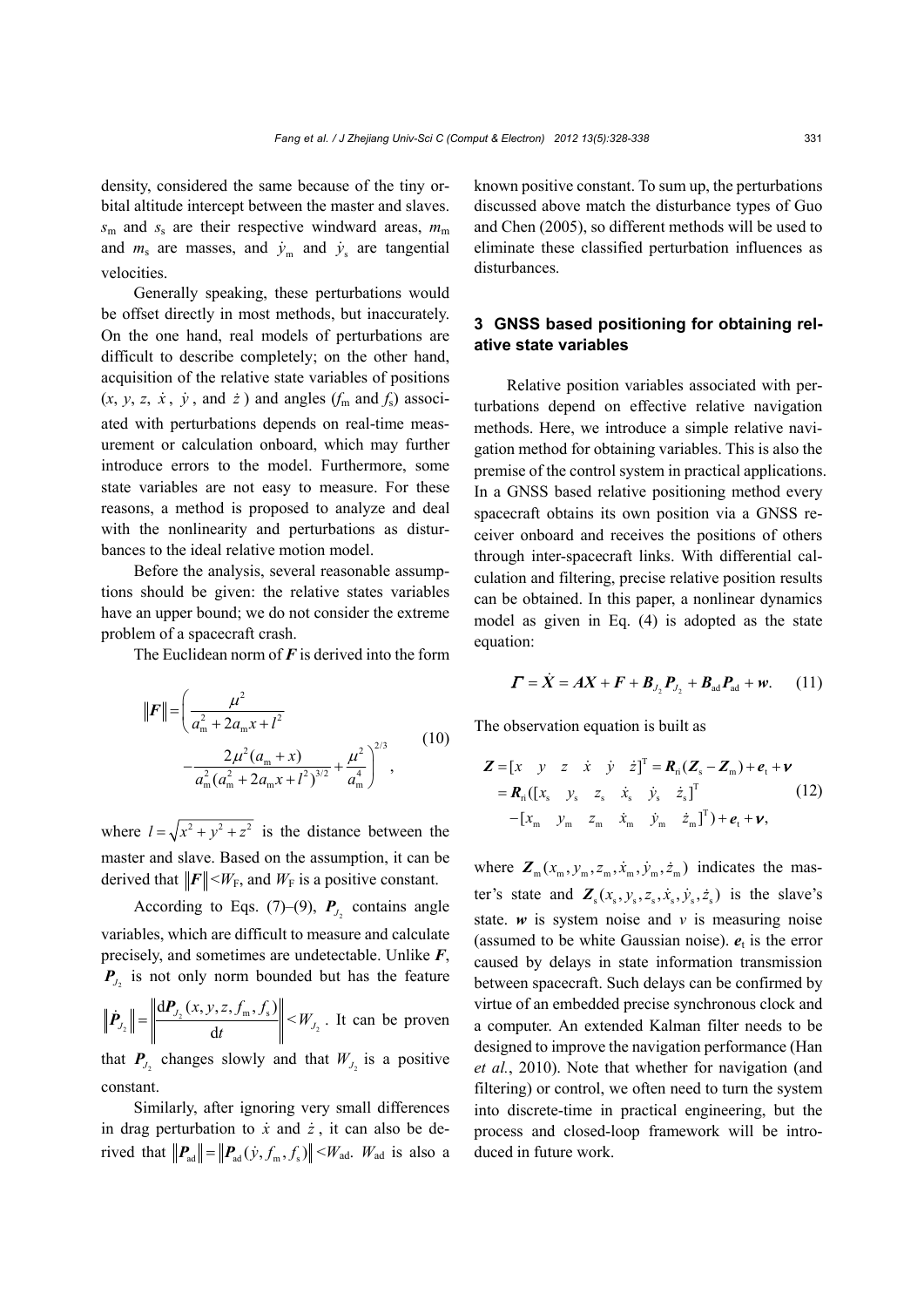density, considered the same because of the tiny orbital altitude intercept between the master and slaves.  $s_m$  and  $s_s$  are their respective windward areas,  $m_m$ and  $m_s$  are masses, and  $\dot{y}_m$  and  $\dot{y}_s$  are tangential velocities.

Generally speaking, these perturbations would be offset directly in most methods, but inaccurately. On the one hand, real models of perturbations are difficult to describe completely; on the other hand, acquisition of the relative state variables of positions  $(x, y, z, \dot{x}, \dot{y}, \text{and } \dot{z})$  and angles  $(f_m \text{ and } f_s)$  associated with perturbations depends on real-time measurement or calculation onboard, which may further introduce errors to the model. Furthermore, some state variables are not easy to measure. For these reasons, a method is proposed to analyze and deal with the nonlinearity and perturbations as disturbances to the ideal relative motion model.

Before the analysis, several reasonable assumptions should be given: the relative states variables have an upper bound; we do not consider the extreme problem of a spacecraft crash.

The Euclidean norm of *F* is derived into the form

$$
\|\boldsymbol{F}\| = \left(\frac{\mu^2}{a_m^2 + 2a_m x + l^2} - \frac{2\mu^2 (a_m + x)}{a_m^2 (a_m^2 + 2a_m x + l^2)^{3/2}} + \frac{\mu^2}{a_m^4}\right)^{2/3},
$$
\n(10)

where  $l = \sqrt{x^2 + y^2 + z^2}$  is the distance between the master and slave. Based on the assumption, it can be derived that  $\|\mathbf{F}\| \leq W_F$ , and  $W_F$  is a positive constant.

According to Eqs. (7)–(9),  $P<sub>J</sub>$  contains angle variables, which are difficult to measure and calculate precisely, and sometimes are undetectable. Unlike *F*,  $P_{J_2}$  is not only norm bounded but has the feature 2  $dP_{J_2}(x, y, z, f_m, f_s)$ d *J J*  $x, y, z, f_m, f$ *t*  $\hat{P}_{J_2}$   $\left\| = \frac{\left\| dP_{J_2}(x, y, z, f_m, f_s) \right\|}{dt} \right\| \leq W_{J_2}$ . It can be proven that  $P_{J_2}$  changes slowly and that  $W_{J_2}$  is a positive

constant.

Similarly, after ignoring very small differences in drag perturbation to  $\dot{x}$  and  $\dot{z}$ , it can also be derived that  $\|\mathbf{P}_{ad}\| = \|\mathbf{P}_{ad}(\dot{y}, f_m, f_s)\| \leq W_{ad}$ . *W*<sub>ad</sub> is also a known positive constant. To sum up, the perturbations discussed above match the disturbance types of Guo and Chen (2005), so different methods will be used to eliminate these classified perturbation influences as disturbances.

# **3 GNSS based positioning for obtaining relative state variables**

Relative position variables associated with perturbations depend on effective relative navigation methods. Here, we introduce a simple relative navigation method for obtaining variables. This is also the premise of the control system in practical applications. In a GNSS based relative positioning method every spacecraft obtains its own position via a GNSS receiver onboard and receives the positions of others through inter-spacecraft links. With differential calculation and filtering, precise relative position results can be obtained. In this paper, a nonlinear dynamics model as given in Eq. (4) is adopted as the state equation:

$$
\boldsymbol{\Gamma} = \dot{\boldsymbol{X}} = A\boldsymbol{X} + \boldsymbol{F} + \boldsymbol{B}_{J_2}\boldsymbol{P}_{J_2} + \boldsymbol{B}_{ad}\boldsymbol{P}_{ad} + \boldsymbol{w}.
$$
 (11)

The observation equation is built as

$$
\mathbf{Z} = \begin{bmatrix} x & y & z & \dot{x} & \dot{y} & \dot{z} \end{bmatrix}^{\mathrm{T}} = \mathbf{R}_{\mathrm{ri}} (\mathbf{Z}_{\mathrm{s}} - \mathbf{Z}_{\mathrm{m}}) + \mathbf{e}_{\mathrm{t}} + \mathbf{v}
$$
\n
$$
= \mathbf{R}_{\mathrm{ri}} ([x_{\mathrm{s}} \quad y_{\mathrm{s}} \quad z_{\mathrm{s}} \quad \dot{x}_{\mathrm{s}} \quad \dot{y}_{\mathrm{s}} \quad \dot{z}_{\mathrm{s}}]^{\mathrm{T}} \tag{12}
$$
\n
$$
- [x_{\mathrm{m}} \quad y_{\mathrm{m}} \quad z_{\mathrm{m}} \quad \dot{x}_{\mathrm{m}} \quad \dot{y}_{\mathrm{m}} \quad \dot{z}_{\mathrm{m}}]^{\mathrm{T}}) + \mathbf{e}_{\mathrm{t}} + \mathbf{v},
$$

where  $\mathbf{Z}_{m}(x_{m}, y_{m}, z_{m}, \dot{x}_{m}, \dot{y}_{m}, \dot{z}_{m})$  indicates the master's state and  $\mathbf{Z}_{s}$ ( $x_s$ ,  $y_s$ ,  $z_s$ ,  $\dot{x}_s$ ,  $\dot{y}_s$ ,  $\dot{z}_s$ ) is the slave's state.  $w$  is system noise and  $v$  is measuring noise (assumed to be white Gaussian noise).  $e_t$  is the error caused by delays in state information transmission between spacecraft. Such delays can be confirmed by virtue of an embedded precise synchronous clock and a computer. An extended Kalman filter needs to be designed to improve the navigation performance (Han *et al.*, 2010). Note that whether for navigation (and filtering) or control, we often need to turn the system into discrete-time in practical engineering, but the process and closed-loop framework will be introduced in future work.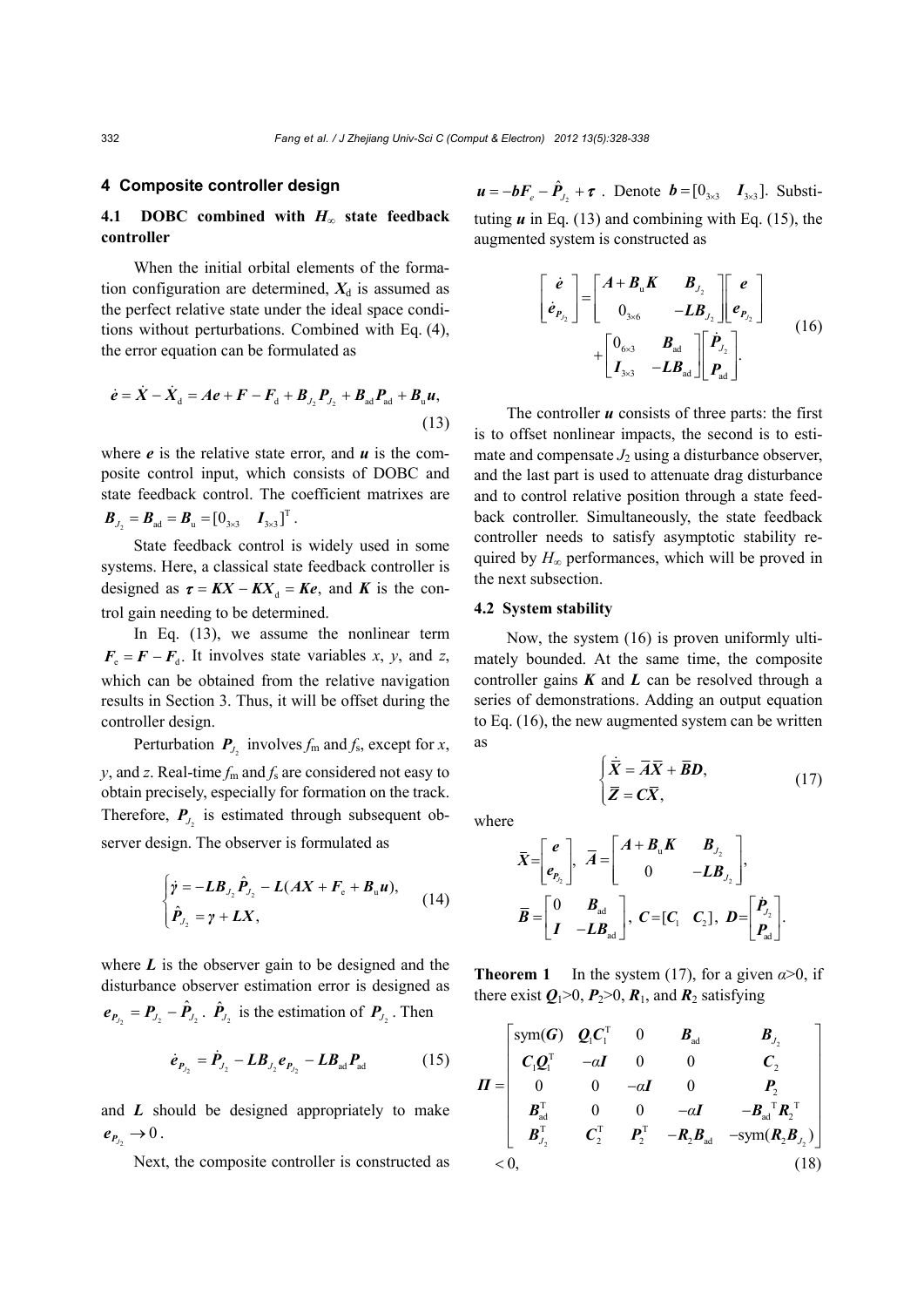### **4 Composite controller design**

## **4.1 DOBC combined with** *H***∞ state feedback controller**

When the initial orbital elements of the formation configuration are determined,  $X_d$  is assumed as the perfect relative state under the ideal space conditions without perturbations. Combined with Eq. (4), the error equation can be formulated as

$$
\dot{e} = \dot{X} - \dot{X}_{d} = Ae + F - F_{d} + B_{J_{2}}P_{J_{2}} + B_{ad}P_{ad} + B_{u}u,
$$
\n(13)

where  $e$  is the relative state error, and  $u$  is the composite control input, which consists of DOBC and state feedback control. The coefficient matrixes are  $\bm{B}_{J_2} = \bm{B}_{ad} = \bm{B}_{u} = \begin{bmatrix} 0_{3\times 3} & I_{3\times 3} \end{bmatrix}^{\mathrm{T}}$ .

State feedback control is widely used in some systems. Here, a classical state feedback controller is designed as  $\tau = KX - KX_d = Ke$ , and *K* is the control gain needing to be determined.

In Eq. (13), we assume the nonlinear term  $F_e = F - F_d$ . It involves state variables *x*, *y*, and *z*, which can be obtained from the relative navigation results in Section 3. Thus, it will be offset during the controller design.

Perturbation  $P_{J_2}$  involves  $f_m$  and  $f_s$ , except for *x*, *y*, and *z*. Real-time  $f_m$  and  $f_s$  are considered not easy to obtain precisely, especially for formation on the track. Therefore,  $P_{J_2}$  is estimated through subsequent observer design. The observer is formulated as

$$
\begin{cases}\n\dot{\gamma} = -LB_{J_2}\hat{P}_{J_2} - L(AX + F_e + B_u u), \\
\hat{P}_{J_2} = \gamma + LX,\n\end{cases}
$$
\n(14)

where  $L$  is the observer gain to be designed and the disturbance observer estimation error is designed as  $e_{P_{J_2}} = P_{J_2} - \hat{P}_{J_2}$ .  $\hat{P}_{J_2}$  is the estimation of  $P_{J_2}$ . Then

$$
\dot{\boldsymbol{e}}_{P_{J_2}} = \dot{\boldsymbol{P}}_{J_2} - \boldsymbol{L}\boldsymbol{B}_{J_2}\boldsymbol{e}_{P_{J_2}} - \boldsymbol{L}\boldsymbol{B}_{ad}\boldsymbol{P}_{ad} \qquad (15)
$$

and *L* should be designed appropriately to make  $e_{P_{J_2}} \rightarrow 0$ .

Next, the composite controller is constructed as

 $\mathbf{u} = -\mathbf{b}F_e - \hat{P}_{J_1} + \tau$ . Denote  $\mathbf{b} = \begin{bmatrix} 0_{3\times3} & I_{3\times3} \end{bmatrix}$ . Substituting  $\boldsymbol{u}$  in Eq. (13) and combining with Eq. (15), the augmented system is constructed as

$$
\begin{bmatrix} \dot{e} \\ \dot{e}_{P_{J_2}} \end{bmatrix} = \begin{bmatrix} A + B_{u}K & B_{J_2} \\ 0_{3\times6} & -LB_{J_2} \end{bmatrix} \begin{bmatrix} e \\ e_{P_{J_2}} \end{bmatrix}
$$
  
+ 
$$
\begin{bmatrix} 0_{6\times3} & B_{ad} \\ I_{3\times3} & -LB_{ad} \end{bmatrix} \begin{bmatrix} \dot{P}_{J_2} \\ P_{ad} \end{bmatrix}.
$$
 (16)

The controller  $\boldsymbol{u}$  consists of three parts: the first is to offset nonlinear impacts, the second is to estimate and compensate  $J_2$  using a disturbance observer, and the last part is used to attenuate drag disturbance and to control relative position through a state feedback controller. Simultaneously, the state feedback controller needs to satisfy asymptotic stability required by  $H_{\infty}$  performances, which will be proved in the next subsection.

#### **4.2 System stability**

Now, the system (16) is proven uniformly ultimately bounded. At the same time, the composite controller gains *K* and *L* can be resolved through a series of demonstrations. Adding an output equation to Eq. (16), the new augmented system can be written as

 $\begin{cases} \dot{\overline{X}} = \overline{A}\overline{X} + \\ = -\overline{B} \end{cases}$ 

 $\overline{Z} = C\overline{X}$ 

 $\left| \overline{Z} \right|$ 

.<br>י

(17)

where

$$
\bar{X} = \begin{bmatrix} e \\ e_{P_{2}} \end{bmatrix}, \quad \bar{A} = \begin{bmatrix} A + B_{u}K & B_{J_{2}} \\ 0 & -LB_{J_{2}} \end{bmatrix},
$$
\n
$$
\bar{B} = \begin{bmatrix} 0 & B_{ad} \\ I & -LB_{ad} \end{bmatrix}, \quad C = [C_{1} \quad C_{2}], \quad D = \begin{bmatrix} P_{J_{2}} \\ P_{ad} \end{bmatrix}.
$$

.<br>,

 $\dot{\overline{X}} = \overline{A}\overline{X} + \overline{B}D$ 

**Theorem 1** In the system (17), for a given  $\alpha > 0$ , if there exist  $Q_1>0$ ,  $P_2>0$ ,  $R_1$ , and  $R_2$  satisfying

$$
\boldsymbol{\Pi} = \begin{bmatrix} \text{sym}(\boldsymbol{G}) & \boldsymbol{Q}_{1}\boldsymbol{C}_{1}^{\mathrm{T}} & 0 & \boldsymbol{B}_{ad} & \boldsymbol{B}_{J_{2}} \\ \boldsymbol{C}_{1}\boldsymbol{Q}_{1}^{\mathrm{T}} & -\alpha\boldsymbol{I} & 0 & 0 & \boldsymbol{C}_{2} \\ 0 & 0 & -\alpha\boldsymbol{I} & 0 & \boldsymbol{P}_{2} \\ \boldsymbol{B}_{ad}^{\mathrm{T}} & 0 & 0 & -\alpha\boldsymbol{I} & -\boldsymbol{B}_{ad}^{\mathrm{T}}\boldsymbol{R}_{2}^{\mathrm{T}} \\ \boldsymbol{B}_{J_{2}}^{\mathrm{T}} & \boldsymbol{C}_{2}^{\mathrm{T}} & \boldsymbol{P}_{2}^{\mathrm{T}} & -\boldsymbol{R}_{2}\boldsymbol{B}_{ad} & -\text{sym}(\boldsymbol{R}_{2}\boldsymbol{B}_{J_{2}}) \end{bmatrix} \\ & < 0, \qquad (18)
$$

2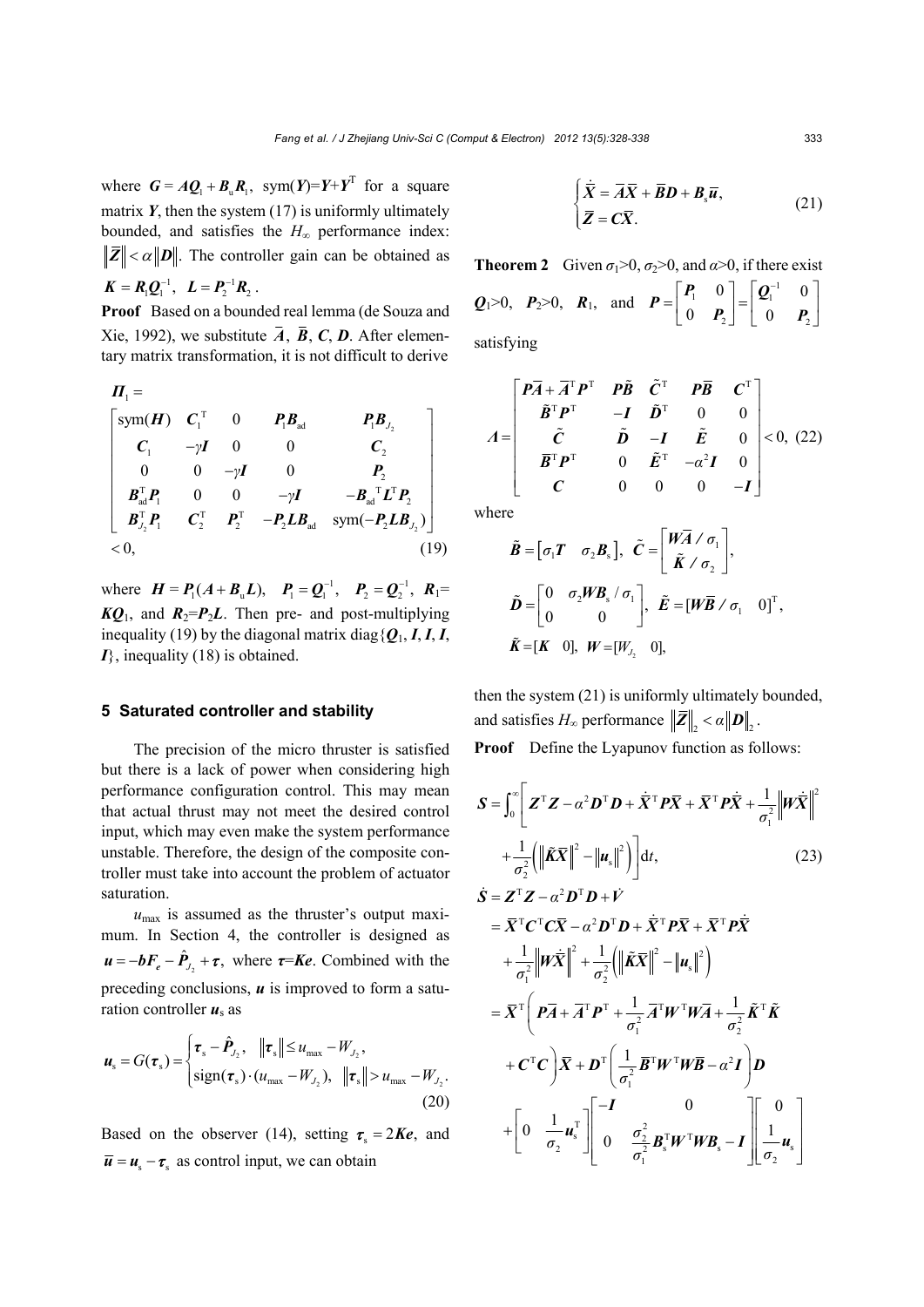where  $G = AQ_1 + B_uR_1$ , sym $(Y) = Y + Y^T$  for a square matrix  $Y$ , then the system  $(17)$  is uniformly ultimately bounded, and satisfies the *H*∞ performance index:  $\|\overline{Z}\| < \alpha \|D\|$ . The controller gain can be obtained as  $K = R_1 Q_1^{-1}$ ,  $L = P_2^{-1} R_2$ .

**Proof** Based on a bounded real lemma (de Souza and Xie, 1992), we substitute  $\overline{A}$ ,  $\overline{B}$ ,  $C$ ,  $D$ . After elementary matrix transformation, it is not difficult to derive

$$
\Pi_{1} = \begin{bmatrix} \text{sym}(\boldsymbol{H}) & \boldsymbol{C}_{1}^{\mathrm{T}} & 0 & \boldsymbol{P}_{1}\boldsymbol{B}_{ad} & \boldsymbol{P}_{1}\boldsymbol{B}_{J_{2}} \\ \boldsymbol{C}_{1} & -\gamma\boldsymbol{I} & 0 & 0 & \boldsymbol{C}_{2} \\ 0 & 0 & -\gamma\boldsymbol{I} & 0 & \boldsymbol{P}_{2} \\ \boldsymbol{B}_{ad}^{\mathrm{T}}\boldsymbol{P}_{1} & 0 & 0 & -\gamma\boldsymbol{I} & -\boldsymbol{B}_{ad}^{\mathrm{T}}\boldsymbol{L}^{\mathrm{T}}\boldsymbol{P}_{2} \\ \boldsymbol{B}_{J_{2}}^{\mathrm{T}}\boldsymbol{P}_{1} & \boldsymbol{C}_{2}^{\mathrm{T}} & \boldsymbol{P}_{2}^{\mathrm{T}} & -\boldsymbol{P}_{2}\boldsymbol{L}\boldsymbol{B}_{ad} & \text{sym}(-\boldsymbol{P}_{2}\boldsymbol{L}\boldsymbol{B}_{J_{2}}) \end{bmatrix} \\ < 0, \tag{19}
$$

where  $H = P_1(A + B_u L)$ ,  $P_1 = Q_1^{-1}$ ,  $P_2 = Q_2^{-1}$ ,  $R_1 =$  $KQ_1$ , and  $R_2 = P_2L$ . Then pre- and post-multiplying inequality (19) by the diagonal matrix diag ${Q_1, I, I, I}$ *I*}, inequality (18) is obtained.

## **5 Saturated controller and stability**

The precision of the micro thruster is satisfied but there is a lack of power when considering high performance configuration control. This may mean that actual thrust may not meet the desired control input, which may even make the system performance unstable. Therefore, the design of the composite controller must take into account the problem of actuator saturation.

 $u_{\text{max}}$  is assumed as the thruster's output maximum. In Section 4, the controller is designed as  $u = -bF_e - \hat{P}_{J_2} + \tau$ , where  $\tau = Ke$ . Combined with the preceding conclusions, *u* is improved to form a saturation controller  $u_s$  as

$$
\boldsymbol{u}_{s} = G(\boldsymbol{\tau}_{s}) = \begin{cases} \boldsymbol{\tau}_{s} - \hat{\boldsymbol{P}}_{J_{2}}, & \|\boldsymbol{\tau}_{s}\| \leq u_{\text{max}} - W_{J_{2}}, \\ \text{sign}(\boldsymbol{\tau}_{s}) \cdot (u_{\text{max}} - W_{J_{2}}), & \|\boldsymbol{\tau}_{s}\| > u_{\text{max}} - W_{J_{2}}. \end{cases}
$$
(20)

Based on the observer (14), setting  $\tau_s = 2Ke$ , and  $\overline{u} = u_s - \tau_s$  as control input, we can obtain

$$
\begin{cases} \n\dot{\overline{X}} = \overline{A}\overline{X} + \overline{B}D + B_{\rm s}\overline{u}, \\ \n\overline{Z} = C\overline{X}. \n\end{cases} \tag{21}
$$

**Theorem 2** Given  $\sigma_1 > 0$ ,  $\sigma_2 > 0$ , and  $\alpha > 0$ , if there exist *Q*1>0, *P*2>0, *R*1, and  $\begin{bmatrix} \mathbf{P}_1 & \mathbf{0} \end{bmatrix}$   $\begin{bmatrix} \mathbf{Q}_1^{-1} \end{bmatrix}$ 2  $\begin{bmatrix} 0 & 1 \\ 2 & 0 \end{bmatrix}$  $\begin{bmatrix} 0 \end{bmatrix} \begin{bmatrix} \boldsymbol{\varrho}_1^{-1} & 0 \end{bmatrix}$  $P = \begin{bmatrix} P_1 & 0 \\ 0 & P_2 \end{bmatrix} = \begin{bmatrix} Q_1^{-1} & 0 \\ 0 & P_2 \end{bmatrix}$  $P_2$  | 0 *P* 

satisfying

$$
A = \begin{bmatrix} P\overline{A} + \overline{A}^{\mathrm{T}}P^{\mathrm{T}} & P\tilde{B} & \tilde{C}^{\mathrm{T}} & P\overline{B} & C^{\mathrm{T}} \\ \tilde{B}^{\mathrm{T}}P^{\mathrm{T}} & -I & \tilde{D}^{\mathrm{T}} & 0 & 0 \\ \tilde{C} & \tilde{D} & -I & \tilde{E} & 0 \\ \overline{B}^{\mathrm{T}}P^{\mathrm{T}} & 0 & \tilde{E}^{\mathrm{T}} & -\alpha^{2}I & 0 \\ C & 0 & 0 & 0 & -I \end{bmatrix} < 0, (22)
$$

where

$$
\tilde{B} = [\sigma_1 \mathbf{T} \quad \sigma_2 \mathbf{B}_s], \quad \tilde{C} = \begin{bmatrix} W \overline{A} \angle \sigma_1 \\ \tilde{K} \angle \sigma_2 \end{bmatrix},
$$
\n
$$
\tilde{D} = \begin{bmatrix} 0 & \sigma_2 W \mathbf{B}_s \angle \sigma_1 \\ 0 & 0 \end{bmatrix}, \quad \tilde{E} = [W \overline{B} \angle \sigma_1 \quad 0]^T,
$$
\n
$$
\tilde{K} = [K \quad 0], \quad W = [W_{y_2} \quad 0],
$$

then the system (21) is uniformly ultimately bounded, and satisfies  $H_{\infty}$  performance  $\|\bar{Z}\|_{2} < \alpha \|\mathbf{D}\|_{2}$ .

**Proof** Define the Lyapunov function as follows:

$$
\mathbf{S} = \int_0^\infty \left[ \mathbf{Z}^{\mathrm{T}} \mathbf{Z} - \alpha^2 \mathbf{D}^{\mathrm{T}} \mathbf{D} + \dot{\mathbf{X}}^{\mathrm{T}} \mathbf{P} \overline{\mathbf{X}} + \overline{\mathbf{X}}^{\mathrm{T}} \mathbf{P} \dot{\overline{\mathbf{X}}} + \frac{1}{\sigma_1^2} \left\| \mathbf{W} \dot{\overline{\mathbf{X}}} \right\|^2 \right. \\ \left. + \frac{1}{\sigma_2^2} \left( \left\| \tilde{\mathbf{K}} \overline{\mathbf{X}} \right\|^2 - \left\| \mathbf{u}_s \right\|^2 \right) \right] dt, \tag{23}
$$

$$
\dot{S} = Z^{\mathrm{T}}Z - \alpha^2 D^{\mathrm{T}}D + \dot{V}
$$
\n
$$
= \overline{X}^{\mathrm{T}}C^{\mathrm{T}}C\overline{X} - \alpha^2 D^{\mathrm{T}}D + \dot{\overline{X}}^{\mathrm{T}}P\overline{X} + \overline{X}^{\mathrm{T}}P\overline{X}
$$
\n
$$
+ \frac{1}{\sigma_1^2} ||W\dot{\overline{X}}||^2 + \frac{1}{\sigma_2^2} (||\tilde{K}\overline{X}||^2 - ||u_s||^2)
$$
\n
$$
= \overline{X}^{\mathrm{T}} \left( P\overline{A} + \overline{A}^{\mathrm{T}}P^{\mathrm{T}} + \frac{1}{\sigma_1^2} \overline{A}^{\mathrm{T}}W^{\mathrm{T}}W\overline{A} + \frac{1}{\sigma_2^2} \tilde{K}^{\mathrm{T}}\tilde{K} + C^{\mathrm{T}}C \right) \overline{X} + D^{\mathrm{T}} \left( \frac{1}{\sigma_1^2} \overline{B}^{\mathrm{T}}W^{\mathrm{T}}W\overline{B} - \alpha^2 I \right) D
$$
\n
$$
+ \left[ 0 \frac{1}{\sigma_2} u_s^{\mathrm{T}} \right] \left[ \begin{matrix} -I & 0 & 0 \\ 0 & \frac{\sigma_2^2}{\sigma_1^2} B_s^{\mathrm{T}}W^{\mathrm{T}}W B_s - I \end{matrix} \right] \left[ \begin{matrix} 0 \\ \frac{1}{\sigma_2} u_s \end{matrix} \right]
$$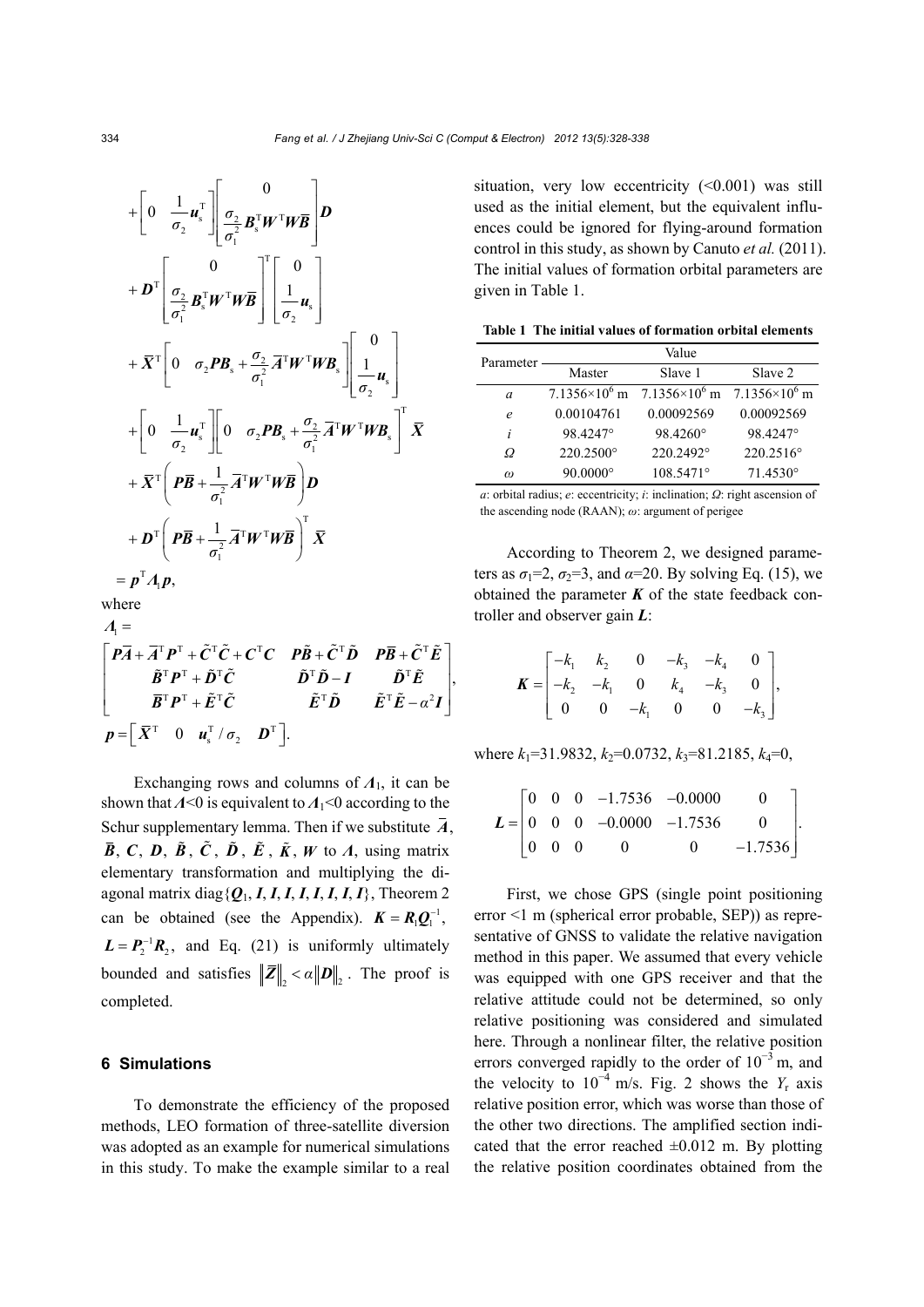$$
+\left[0 \frac{1}{\sigma_2} u_s^{\mathrm{T}}\right] \left[\frac{0}{\sigma_2} \frac{1}{\sigma_1^2} B_s^{\mathrm{T}} W^{\mathrm{T}} W \overline{B}\right] D
$$
  
+
$$
D^{\mathrm{T}} \left[\frac{0}{\sigma_2^2} B_s^{\mathrm{T}} W^{\mathrm{T}} W \overline{B}\right] \left[\frac{1}{\sigma_2} u_s\right]
$$
  
+
$$
\overline{X}^{\mathrm{T}} \left[0 \frac{\sigma_2 P B_s + \frac{\sigma_2}{\sigma_1^2} \overline{A}^{\mathrm{T}} W^{\mathrm{T}} W B_s\right] \left[\frac{1}{\sigma_2} u_s\right]
$$
  
+
$$
\left[0 \frac{1}{\sigma_2} u_s^{\mathrm{T}}\right] \left[0 \frac{\sigma_2 P B_s + \frac{\sigma_2}{\sigma_1^2} \overline{A}^{\mathrm{T}} W^{\mathrm{T}} W B_s\right]^{\mathrm{T}} \overline{X}
$$
  
+
$$
\overline{X}^{\mathrm{T}} \left(P \overline{B} + \frac{1}{\sigma_1^2} \overline{A}^{\mathrm{T}} W^{\mathrm{T}} W \overline{B}\right) D
$$
  
+
$$
D^{\mathrm{T}} \left(P \overline{B} + \frac{1}{\sigma_1^2} \overline{A}^{\mathrm{T}} W^{\mathrm{T}} W \overline{B}\right)^{\mathrm{T}} \overline{X}
$$
  
=
$$
p^{\mathrm{T}} A_1 p,
$$

where  

$$
\Lambda_1 =
$$

$$
\begin{bmatrix}\n\vec{P} \cdot \vec{A} + \vec{A}^{\mathrm{T}} \vec{P}^{\mathrm{T}} + \tilde{C}^{\mathrm{T}} \tilde{C} + C^{\mathrm{T}} C & \vec{P} \tilde{B} + \tilde{C}^{\mathrm{T}} \tilde{D} & \vec{P} \vec{B} + \tilde{C}^{\mathrm{T}} \tilde{E} \\
\vec{B}^{\mathrm{T}} \vec{P}^{\mathrm{T}} + \tilde{D}^{\mathrm{T}} \tilde{C} & \vec{D}^{\mathrm{T}} \tilde{D} - I & \vec{D}^{\mathrm{T}} \tilde{E} \\
\vec{B}^{\mathrm{T}} \vec{P}^{\mathrm{T}} + \tilde{E}^{\mathrm{T}} \tilde{C} & \vec{E}^{\mathrm{T}} \tilde{D} & \vec{E}^{\mathrm{T}} \tilde{E} - \alpha^2 I\n\end{bmatrix},
$$
\n
$$
p = \begin{bmatrix}\n\vec{X}^{\mathrm{T}} & 0 & \vec{u}_s^{\mathrm{T}} / \sigma_2 & \vec{D}^{\mathrm{T}}\n\end{bmatrix}.
$$

Exchanging rows and columns of *Λ*1, it can be shown that *Λ*<0 is equivalent to *Λ*<sub>1</sub><0 according to the Schur supplementary lemma. Then if we substitute  $\overline{A}$ ,  $\overline{B}$ , *C*, *D*,  $\tilde{B}$ ,  $\tilde{C}$ ,  $\tilde{D}$ ,  $\tilde{E}$ ,  $\tilde{K}$ , *W* to *Λ*, using matrix elementary transformation and multiplying the diagonal matrix diag{*Q*1, *I*, *I*, *I*, *I*, *I*, *I*, *I*, *I*}, Theorem 2 can be obtained (see the Appendix).  $K = R_1 Q_1^{-1}$ ,  $L = P_2^{-1}R_2$ , and Eq. (21) is uniformly ultimately bounded and satisfies  $\|\overline{Z}\|_{2} < \alpha \|D\|_{2}$ . The proof is completed.

## **6 Simulations**

To demonstrate the efficiency of the proposed methods, LEO formation of three-satellite diversion was adopted as an example for numerical simulations in this study. To make the example similar to a real situation, very low eccentricity  $(\leq 0.001)$  was still used as the initial element, but the equivalent influences could be ignored for flying-around formation control in this study, as shown by Canuto *et al.* (2011). The initial values of formation orbital parameters are given in Table 1.

| Table 1 The initial values of formation orbital elements |  |  |  |  |  |  |
|----------------------------------------------------------|--|--|--|--|--|--|
|----------------------------------------------------------|--|--|--|--|--|--|

| Parameter | Value                  |                        |                        |  |  |
|-----------|------------------------|------------------------|------------------------|--|--|
|           | Master                 | Slave 1                | Slave 2                |  |  |
| a         | $7.1356\times10^{6}$ m | $7.1356\times10^{6}$ m | $7.1356\times10^{6}$ m |  |  |
| e         | 0.00104761             | 0.00092569             | 0.00092569             |  |  |
| i         | 98.4247°               | 98.4260°               | 98.4247°               |  |  |
| Ω         | 220.2500°              | 220.2492°              | 220.2516°              |  |  |
| $\omega$  | $90.0000$ °            | 108.5471°              | $71.4530^{\circ}$      |  |  |

*a*: orbital radius; *e*: eccentricity; *i*: inclination; *Ω*: right ascension of the ascending node (RAAN); *ω*: argument of perigee

According to Theorem 2, we designed parameters as  $\sigma_1 = 2$ ,  $\sigma_2 = 3$ , and  $\alpha = 20$ . By solving Eq. (15), we obtained the parameter  $K$  of the state feedback controller and observer gain *L*:

$$
\boldsymbol{K} = \begin{bmatrix} -k_1 & k_2 & 0 & -k_3 & -k_4 & 0 \\ -k_2 & -k_1 & 0 & k_4 & -k_3 & 0 \\ 0 & 0 & -k_1 & 0 & 0 & -k_3 \end{bmatrix},
$$

where  $k_1$ =31.9832,  $k_2$ =0.0732,  $k_3$ =81.2185,  $k_4$ =0,

$$
L = \begin{bmatrix} 0 & 0 & 0 & -1.7536 & -0.0000 & 0 \\ 0 & 0 & 0 & -0.0000 & -1.7536 & 0 \\ 0 & 0 & 0 & 0 & 0 & -1.7536 \end{bmatrix}.
$$

First, we chose GPS (single point positioning error <1 m (spherical error probable, SEP)) as representative of GNSS to validate the relative navigation method in this paper. We assumed that every vehicle was equipped with one GPS receiver and that the relative attitude could not be determined, so only relative positioning was considered and simulated here. Through a nonlinear filter, the relative position errors converged rapidly to the order of  $10^{-3}$  m, and the velocity to  $10^{-4}$  m/s. Fig. 2 shows the *Y<sub>r</sub>* axis relative position error, which was worse than those of the other two directions. The amplified section indicated that the error reached  $\pm 0.012$  m. By plotting the relative position coordinates obtained from the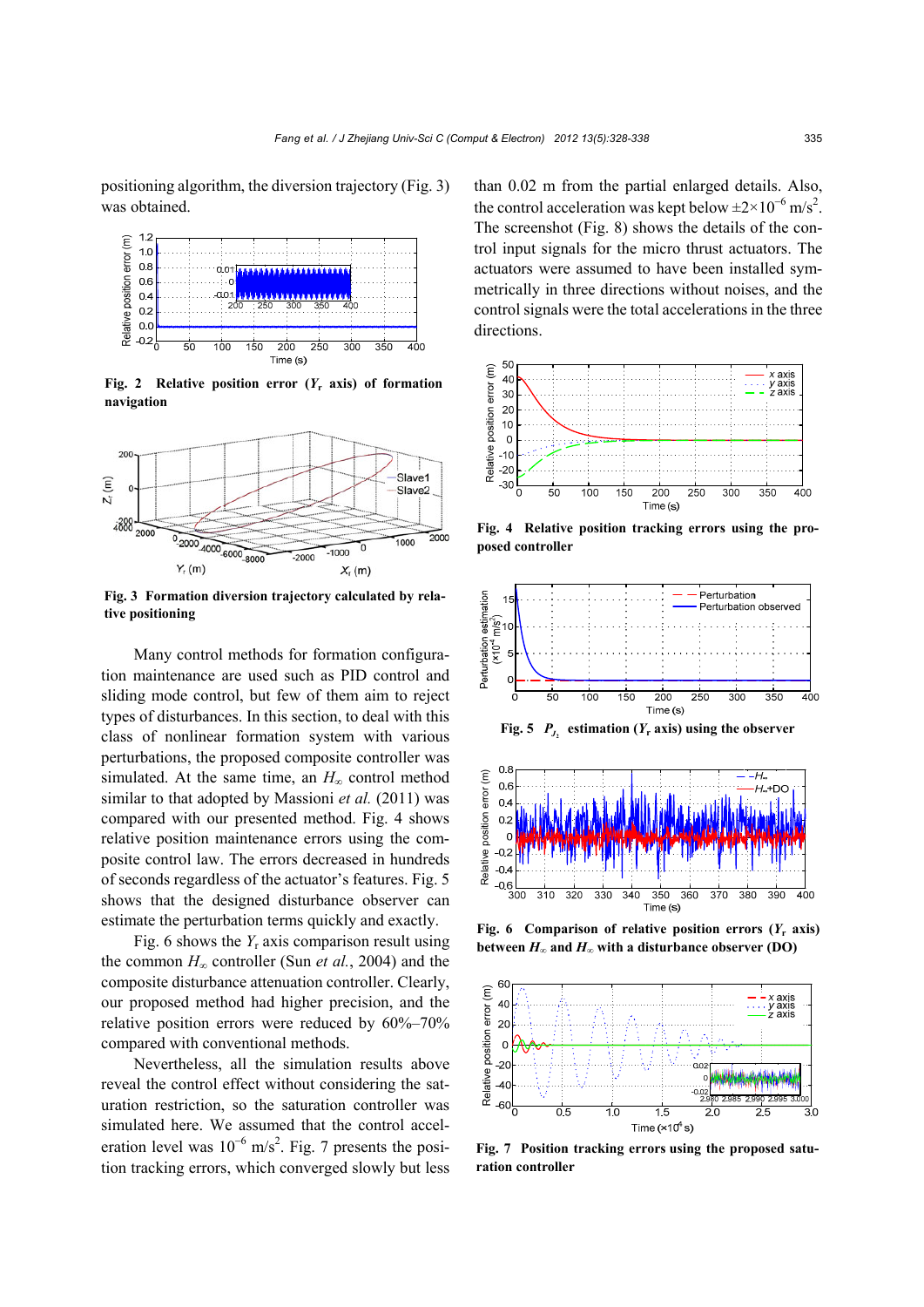positioning algorithm, the diversion trajectory (Fig. 3) was obtained.



**Fig. 2** Relative position error  $(Y_r \text{ axis})$  of formation **navigation** 



**Fig. 3 Formation diversion trajectory calculated by relative positioning** 

Many control methods for formation configuration maintenance are used such as PID control and sliding mode control, but few of them aim to reject types of disturbances. In this section, to deal with this class of nonlinear formation system with various perturbations, the proposed composite controller was simulated. At the same time, an  $H_{\infty}$  control method similar to that adopted by Massioni *et al.* (2011) was compared with our presented method. Fig. 4 shows relative position maintenance errors using the composite control law. The errors decreased in hundreds of seconds regardless of the actuator's features. Fig. 5 shows that the designed disturbance observer can estimate the perturbation terms quickly and exactly.

Fig. 6 shows the *Y<sub>r</sub>* axis comparison result using the common *H*∞ controller (Sun *et al.*, 2004) and the composite disturbance attenuation controller. Clearly, our proposed method had higher precision, and the relative position errors were reduced by 60%–70% compared with conventional methods.

Nevertheless, all the simulation results above reveal the control effect without considering the saturation restriction, so the saturation controller was simulated here. We assumed that the control acceleration level was  $10^{-6}$  m/s<sup>2</sup>. Fig. 7 presents the position tracking errors, which converged slowly but less than 0.02 m from the partial enlarged details. Also, the control acceleration was kept below  $\pm 2 \times 10^{-6}$  m/s<sup>2</sup>. The screenshot (Fig. 8) shows the details of the control input signals for the micro thrust actuators. The actuators were assumed to have been installed symmetrically in three directions without noises, and the control signals were the total accelerations in the three directions.



**Fig. 4 Relative position tracking errors using the proposed controller** 



**Fig. 5**  $P_{J_2}$  estimation ( $Y_r$  axis) using the observer



**Fig. 6 Comparison of relative position errors**  $(Y_r \text{ axis})$ 



**Fig. 7 Position tracking errors using the proposed saturation controller**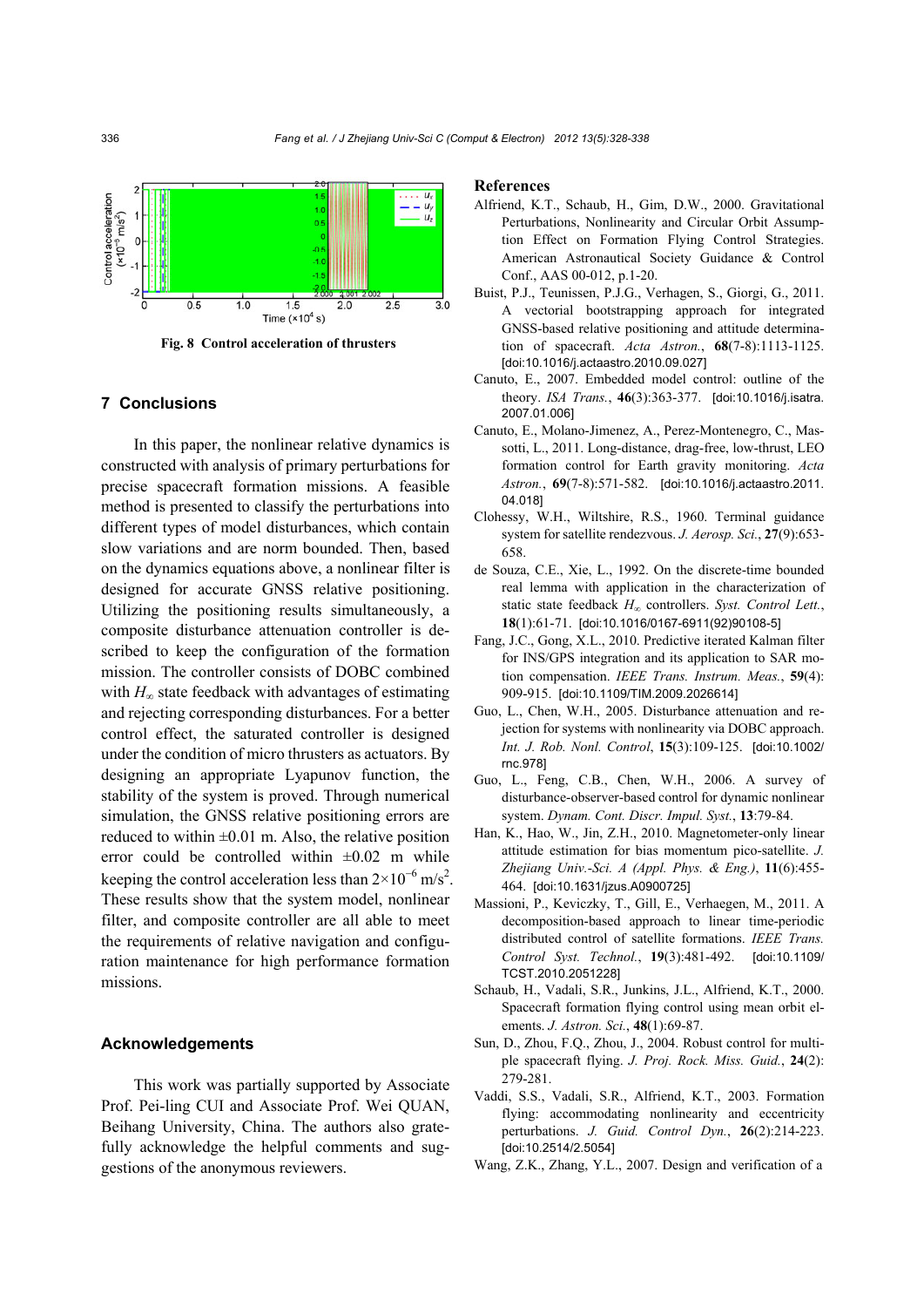

**Fig. 8 Control acceleration of thrusters** 

## **7 Conclusions**

In this paper, the nonlinear relative dynamics is constructed with analysis of primary perturbations for precise spacecraft formation missions. A feasible method is presented to classify the perturbations into different types of model disturbances, which contain slow variations and are norm bounded. Then, based on the dynamics equations above, a nonlinear filter is designed for accurate GNSS relative positioning. Utilizing the positioning results simultaneously, a composite disturbance attenuation controller is described to keep the configuration of the formation mission. The controller consists of DOBC combined with  $H_{\infty}$  state feedback with advantages of estimating and rejecting corresponding disturbances. For a better control effect, the saturated controller is designed under the condition of micro thrusters as actuators. By designing an appropriate Lyapunov function, the stability of the system is proved. Through numerical simulation, the GNSS relative positioning errors are reduced to within  $\pm 0.01$  m. Also, the relative position error could be controlled within  $\pm 0.02$  m while keeping the control acceleration less than  $2 \times 10^{-6}$  m/s<sup>2</sup>. These results show that the system model, nonlinear filter, and composite controller are all able to meet the requirements of relative navigation and configuration maintenance for high performance formation missions.

## **Acknowledgements**

This work was partially supported by Associate Prof. Pei-ling CUI and Associate Prof. Wei QUAN, Beihang University, China. The authors also gratefully acknowledge the helpful comments and suggestions of the anonymous reviewers.

#### **References**

- Alfriend, K.T., Schaub, H., Gim, D.W., 2000. Gravitational Perturbations, Nonlinearity and Circular Orbit Assumption Effect on Formation Flying Control Strategies. American Astronautical Society Guidance & Control Conf., AAS 00-012, p.1-20.
- Buist, P.J., Teunissen, P.J.G., Verhagen, S., Giorgi, G., 2011. A vectorial bootstrapping approach for integrated GNSS-based relative positioning and attitude determination of spacecraft. *Acta Astron.*, **68**(7-8):1113-1125. [doi:10.1016/j.actaastro.2010.09.027]
- Canuto, E., 2007. Embedded model control: outline of the theory. *ISA Trans.*, **46**(3):363-377. [doi:10.1016/j.isatra. 2007.01.006]
- Canuto, E., Molano-Jimenez, A., Perez-Montenegro, C., Massotti, L., 2011. Long-distance, drag-free, low-thrust, LEO formation control for Earth gravity monitoring. *Acta Astron.*, **69**(7-8):571-582. [doi:10.1016/j.actaastro.2011. 04.018]
- Clohessy, W.H., Wiltshire, R.S., 1960. Terminal guidance system for satellite rendezvous. *J. Aerosp. Sci.*, **27**(9):653- 658.
- de Souza, C.E., Xie, L., 1992. On the discrete-time bounded real lemma with application in the characterization of static state feedback *H*∞ controllers. *Syst. Control Lett.*, **18**(1):61-71. [doi:10.1016/0167-6911(92)90108-5]
- Fang, J.C., Gong, X.L., 2010. Predictive iterated Kalman filter for INS/GPS integration and its application to SAR motion compensation. *IEEE Trans. Instrum. Meas.*, **59**(4): 909-915. [doi:10.1109/TIM.2009.2026614]
- Guo, L., Chen, W.H., 2005. Disturbance attenuation and rejection for systems with nonlinearity via DOBC approach. *Int. J. Rob. Nonl. Control*, **15**(3):109-125. [doi:10.1002/ rnc.978]
- Guo, L., Feng, C.B., Chen, W.H., 2006. A survey of disturbance-observer-based control for dynamic nonlinear system. *Dynam. Cont. Discr. Impul. Syst.*, **13**:79-84.
- Han, K., Hao, W., Jin, Z.H., 2010. Magnetometer-only linear attitude estimation for bias momentum pico-satellite. *J. Zhejiang Univ.-Sci. A (Appl. Phys. & Eng.)*, **11**(6):455- 464. [doi:10.1631/jzus.A0900725]
- Massioni, P., Keviczky, T., Gill, E., Verhaegen, M., 2011. A decomposition-based approach to linear time-periodic distributed control of satellite formations. *IEEE Trans. Control Syst. Technol.*, **19**(3):481-492. [doi:10.1109/ TCST.2010.2051228]
- Schaub, H., Vadali, S.R., Junkins, J.L., Alfriend, K.T., 2000. Spacecraft formation flying control using mean orbit elements. *J. Astron. Sci.*, **48**(1):69-87.
- Sun, D., Zhou, F.Q., Zhou, J., 2004. Robust control for multiple spacecraft flying. *J. Proj. Rock. Miss. Guid.*, **24**(2): 279-281.
- Vaddi, S.S., Vadali, S.R., Alfriend, K.T., 2003. Formation flying: accommodating nonlinearity and eccentricity perturbations. *J. Guid. Control Dyn.*, **26**(2):214-223. [doi:10.2514/2.5054]
- Wang, Z.K., Zhang, Y.L., 2007. Design and verification of a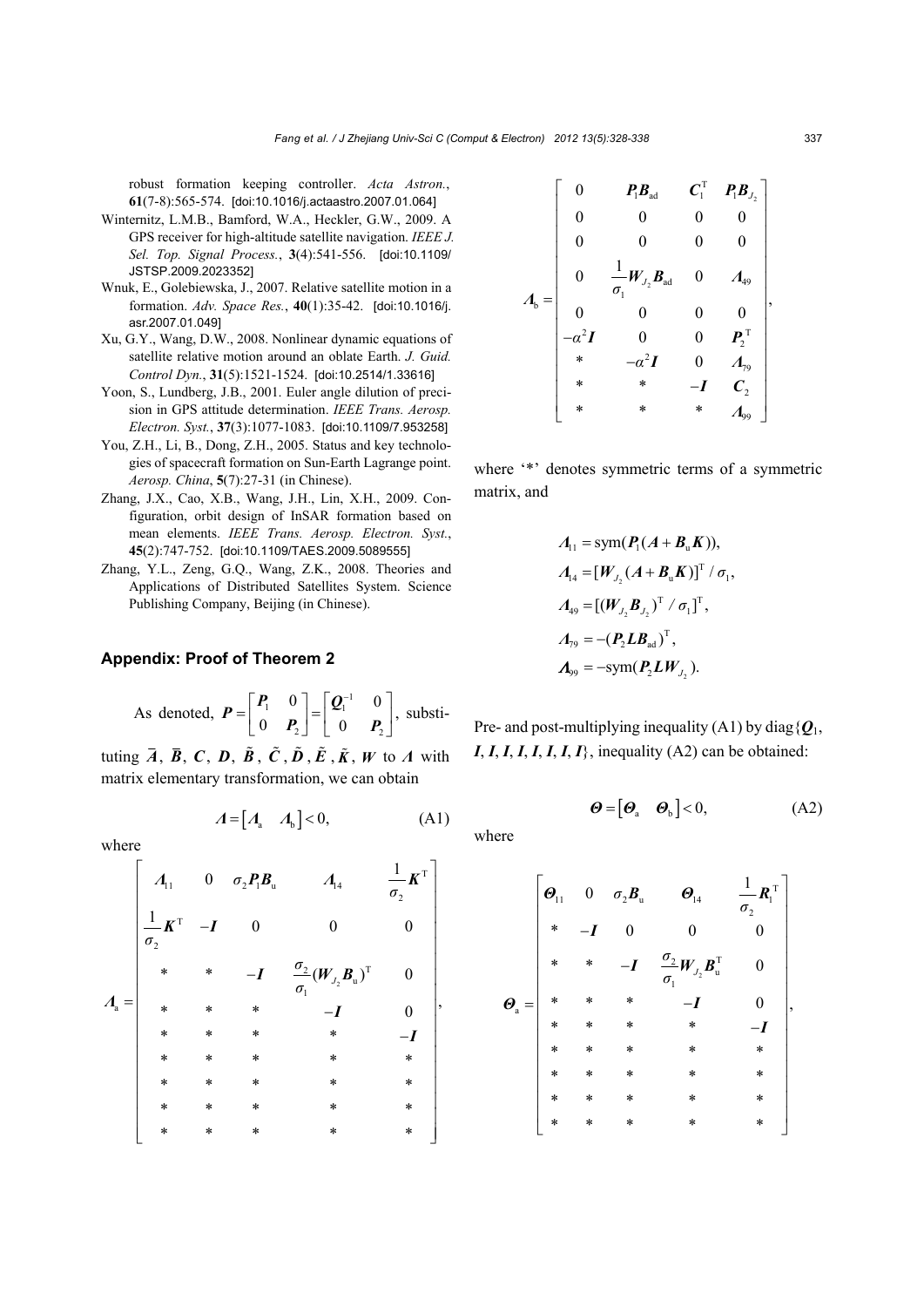robust formation keeping controller. *Acta Astron.*, **61**(7-8):565-574. [doi:10.1016/j.actaastro.2007.01.064]

- Winternitz, L.M.B., Bamford, W.A., Heckler, G.W., 2009. A GPS receiver for high-altitude satellite navigation. *IEEE J. Sel. Top. Signal Process.*, **3**(4):541-556. [doi:10.1109/ JSTSP.2009.2023352]
- Wnuk, E., Golebiewska, J., 2007. Relative satellite motion in a formation. *Adv. Space Res.*, **40**(1):35-42. [doi:10.1016/j. asr.2007.01.049]
- Xu, G.Y., Wang, D.W., 2008. Nonlinear dynamic equations of satellite relative motion around an oblate Earth. *J. Guid. Control Dyn.*, **31**(5):1521-1524. [doi:10.2514/1.33616]
- Yoon, S., Lundberg, J.B., 2001. Euler angle dilution of precision in GPS attitude determination. *IEEE Trans. Aerosp. Electron. Syst.*, **37**(3):1077-1083. [doi:10.1109/7.953258]
- You, Z.H., Li, B., Dong, Z.H., 2005. Status and key technologies of spacecraft formation on Sun-Earth Lagrange point. *Aerosp. China*, **5**(7):27-31 (in Chinese).
- Zhang, J.X., Cao, X.B., Wang, J.H., Lin, X.H., 2009. Configuration, orbit design of InSAR formation based on mean elements. *IEEE Trans. Aerosp. Electron. Syst.*, **45**(2):747-752. [doi:10.1109/TAES.2009.5089555]
- Zhang, Y.L., Zeng, G.Q., Wang, Z.K., 2008. Theories and Applications of Distributed Satellites System. Science Publishing Company, Beijing (in Chinese).

## **Appendix: Proof of Theorem 2**

As denoted, 
$$
\boldsymbol{P} = \begin{bmatrix} \boldsymbol{P}_1 & 0 \\ 0 & \boldsymbol{P}_2 \end{bmatrix} = \begin{bmatrix} \boldsymbol{Q}_1^{-1} & 0 \\ 0 & \boldsymbol{P}_2 \end{bmatrix}
$$
, substiti-

tuting  $\overline{A}$ ,  $\overline{B}$ ,  $C$ ,  $D$ ,  $\tilde{B}$ ,  $\tilde{C}$ ,  $\tilde{D}$ ,  $\tilde{E}$ ,  $\tilde{K}$ ,  $W$  to  $\Lambda$  with matrix elementary transformation, we can obtain

$$
\boldsymbol{\Lambda} = \begin{bmatrix} \boldsymbol{\Lambda}_{a} & \boldsymbol{\Lambda}_{b} \end{bmatrix} < \boldsymbol{0}, \tag{A1}
$$

where

$$
A_{a} = \begin{bmatrix} A_{11} & 0 & \sigma_{2}P_{1}B_{u} & A_{14} & \frac{1}{\sigma_{2}}K^{T} \\ \frac{1}{\sigma_{2}}K^{T} & -I & 0 & 0 & 0 \\ * & * & -I & \frac{\sigma_{2}}{\sigma_{1}}(W_{J_{2}}B_{u})^{T} & 0 \\ * & * & * & -I & 0 \\ * & * & * & * & -I & 0 \\ * & * & * & * & * & * \\ * & * & * & * & * & * \\ * & * & * & * & * & * \\ * & * & * & * & * & * \end{bmatrix},
$$

$$
A_{\text{b}} = \begin{bmatrix} 0 & P_{\text{1}}B_{\text{ad}} & C_{\text{1}}^{\text{T}} & P_{\text{1}}B_{\text{J}_{2}} \\ 0 & 0 & 0 & 0 \\ 0 & 0 & 0 & 0 \\ 0 & \frac{1}{\sigma_{\text{1}}}W_{\text{J}_{2}}B_{\text{ad}} & 0 & A_{\text{49}} \\ 0 & 0 & 0 & 0 \\ -\alpha^{2}I & 0 & 0 & P_{2}^{\text{T}} \\ * & -\alpha^{2}I & 0 & A_{\text{79}} \\ * & * & -I & C_{2} \\ * & * & * & A_{\text{99}} \end{bmatrix},
$$

where '\*' denotes symmetric terms of a symmetric matrix, and

$$
A_{11} = \text{sym}(\bm{P}_1(A + \bm{B}_{\mathrm{u}}\bm{K})),
$$
  
\n
$$
A_{14} = [\bm{W}_{J_2}(A + \bm{B}_{\mathrm{u}}\bm{K})]^T / \sigma_1,
$$
  
\n
$$
A_{49} = [(\bm{W}_{J_2}\bm{B}_{J_2})^T / \sigma_1]^T,
$$
  
\n
$$
A_{79} = -(\bm{P}_2\bm{L}\bm{B}_{\mathrm{ad}})^T,
$$
  
\n
$$
A_{99} = -\text{sym}(\bm{P}_2\bm{L}\bm{W}_{J_2}).
$$

Pre- and post-multiplying inequality (A1) by diag $\{Q_1,$  $I, I, I, I, I, I, I, I, I$ , inequality (A2) can be obtained:

$$
\boldsymbol{\Theta} = \begin{bmatrix} \boldsymbol{\Theta}_{a} & \boldsymbol{\Theta}_{b} \end{bmatrix} < 0, \tag{A2}
$$

where

$$
\boldsymbol{\Theta}_{a} = \begin{bmatrix} \boldsymbol{\Theta}_{11} & 0 & \sigma_{2} \boldsymbol{B}_{u} & \boldsymbol{\Theta}_{14} & \frac{1}{\sigma_{2}} \boldsymbol{R}_{1}^{\mathrm{T}} \\ * & -\boldsymbol{I} & 0 & 0 & 0 \\ * & * & -\boldsymbol{I} & \frac{\sigma_{2}}{\sigma_{1}} \boldsymbol{W}_{22} \boldsymbol{B}_{u}^{\mathrm{T}} & 0 \\ * & * & * & -\boldsymbol{I} & 0 \\ * & * & * & * & * & -\boldsymbol{I} \\ * & * & * & * & * & * \\ * & * & * & * & * & * \\ * & * & * & * & * & * \end{bmatrix},
$$